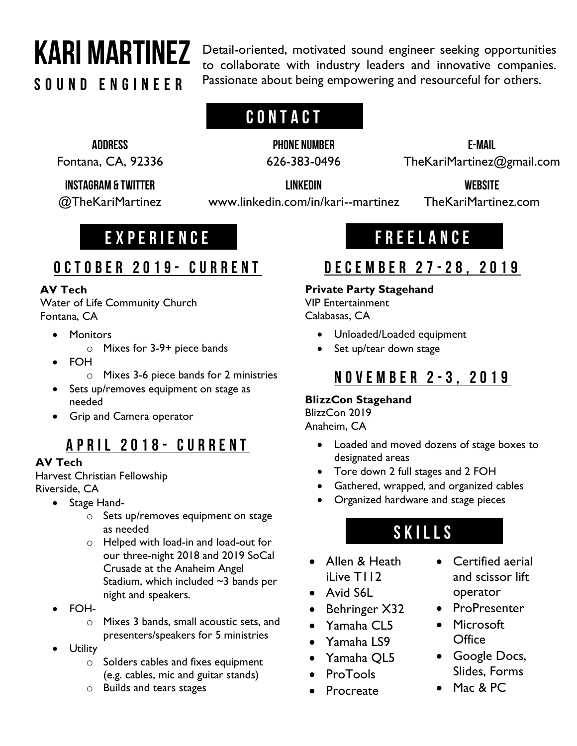# Kari Martinez

Sound Engineer

Detail-oriented, motivated sound engineer seeking opportunities to collaborate with industry leaders and innovative companies. Passionate about being empowering and resourceful for others.

# **CONTACT**

address

Fontana, CA, 92336

Instagram & Twitter

@TheKariMartinez

LinkedIn www.linkedin.com/in/kari--martinez

PHONE NUMBER 626-383-0496

> **WEBSITE** TheKariMartinez.com

E-mail TheKariMartinez@gmail.com

Experience

# Freelance

# October 2019 - current

### **AV Tech**

Water of Life Community Church Fontana, CA

- Monitors
	- o Mixes for 3-9+ piece bands
- FOH
	- o Mixes 3-6 piece bands for 2 ministries
- Sets up/removes equipment on stage as needed
- Grip and Camera operator

# April 2018 - current

### **AV Tech**

Harvest Christian Fellowship Riverside, CA

- Stage Hand
	- o Sets up/removes equipment on stage as needed
	- o Helped with load-in and load-out for our three-night 2018 and 2019 SoCal Crusade at the Anaheim Angel Stadium, which included ~3 bands per night and speakers.
- FOH
	- o Mixes 3 bands, small acoustic sets, and presenters/speakers for 5 ministries
- Utility
	- $\circ$  Solders cables and fixes equipment (e.g. cables, mic and guitar stands)
	- o Builds and tears stages

# December 27 - 28, 2019

### **Private Party Stagehand**

VIP Entertainment Calabasas, CA

- Unloaded/Loaded equipment
- Set up/tear down stage

### November 2 - 3, 2019

### **BlizzCon Stagehand**

BlizzCon 2019 Anaheim, CA

- Loaded and moved dozens of stage boxes to designated areas
- Tore down 2 full stages and 2 FOH
- Gathered, wrapped, and organized cables
- Organized hardware and stage pieces

# skills

- Allen & Heath iLive T112
- Avid S6L
- Behringer X32
- Yamaha CL5
- Yamaha LS9
- Yamaha QL5
- ProTools
- Procreate
- Certified aerial and scissor lift operator
- ProPresenter
- Microsoft **Office**
- Google Docs, Slides, Forms
- Mac & PC